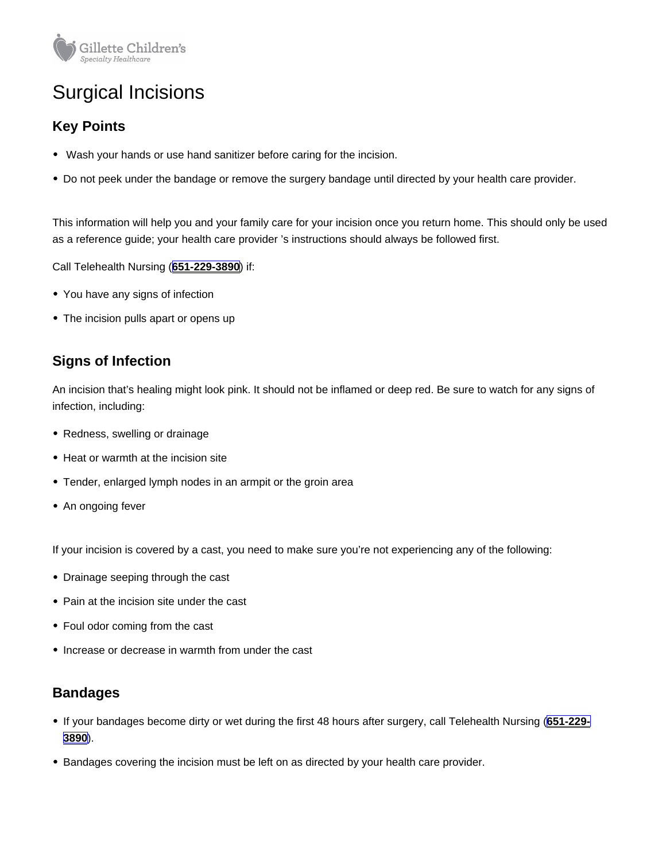# Surgical Incisions

## Key Points

- Wash your hands or use hand sanitizer before caring for the incision.
- Do not peek under the bandage or remove the surgery bandage until directed by your health care provider.

This information will help you and your family care for your incision once you return home. This should only be used as a reference guide; your health care provider 's instructions should always be followed first.

Call Telehealth Nursing [\(651-229-3890](tel:+16512293890)) if:

- You have any signs of infection
- The incision pulls apart or opens up

### Signs of Infection

An incision that's healing might look pink. It should not be inflamed or deep red. Be sure to watch for any signs of infection, including:

- Redness, swelling or drainage
- Heat or warmth at the incision site
- Tender, enlarged lymph nodes in an armpit or the groin area
- An ongoing fever

If your incision is covered by a cast, you need to make sure you're not experiencing any of the following:

- Drainage seeping through the cast
- Pain at the incision site under the cast
- Foul odor coming from the cast
- Increase or decrease in warmth from under the cast

#### Bandages

- If your bandages become dirty or wet during the first 48 hours after surgery, call Telehealth Nursing ([651-229-](tel:+16512293890) [3890](tel:+16512293890)).
- **Bandages covering the incision must be left on as directed by your health care provider.**